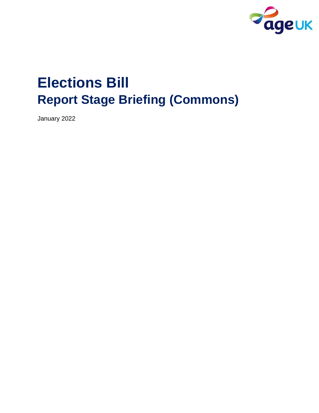

# **Elections Bill Report Stage Briefing (Commons)**

January 2022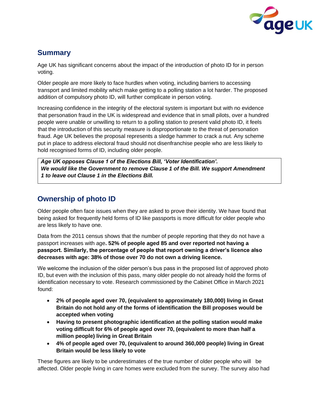

## **Summary**

Age UK has significant concerns about the impact of the introduction of photo ID for in person voting.

Older people are more likely to face hurdles when voting, including barriers to accessing transport and limited mobility which make getting to a polling station a lot harder. The proposed addition of compulsory photo ID, will further complicate in person voting.

Increasing confidence in the integrity of the electoral system is important but with no evidence that personation fraud in the UK is widespread and evidence that in small pilots, over a hundred people were unable or unwilling to return to a polling station to present valid photo ID, it feels that the introduction of this security measure is disproportionate to the threat of personation fraud. Age UK believes the proposal represents a sledge hammer to crack a nut. Any scheme put in place to address electoral fraud should not disenfranchise people who are less likely to hold recognised forms of ID, including older people.

*Age UK opposes Clause 1 of the Elections Bill, 'Voter Identification'. We would like the Government to remove Clause 1 of the Bill. We support Amendment 1 to leave out Clause 1 in the Elections Bill.* 

## **Ownership of photo ID**

Older people often face issues when they are asked to prove their identity. We have found that being asked for frequently held forms of ID like passports is more difficult for older people who are less likely to have one.

Data from the 2011 census shows that the number of people reporting that they do not have a passport increases with age**. 52% of people aged 85 and over reported not having a passport. Similarly, the percentage of people that report owning a driver's licence also decreases with age: 38% of those over 70 do not own a driving licence.**

We welcome the inclusion of the older person's bus pass in the proposed list of approved photo ID, but even with the inclusion of this pass, many older people do not already hold the forms of identification necessary to vote. Research commissioned by the Cabinet Office in March 2021 found:

- **2% of people aged over 70, (equivalent to approximately 180,000) living in Great Britain do not hold any of the forms of identification the Bill proposes would be accepted when voting**
- **Having to present photographic identification at the polling station would make voting difficult for 6% of people aged over 70, (equivalent to more than half a million people) living in Great Britain**
- **4% of people aged over 70, (equivalent to around 360,000 people) living in Great Britain would be less likely to vote**

These figures are likely to be underestimates of the true number of older people who will be affected. Older people living in care homes were excluded from the survey. The survey also had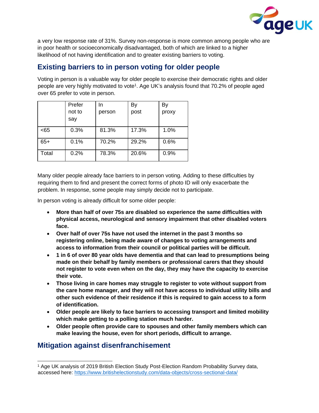

a very low response rate of 31%. Survey non-response is more common among people who are in poor health or socioeconomically disadvantaged, both of which are linked to a higher likelihood of not having identification and to greater existing barriers to voting.

### **Existing barriers to in person voting for older people**

Voting in person is a valuable way for older people to exercise their democratic rights and older people are very highly motivated to vote<sup>1</sup>. Age UK's analysis found that 70.2% of people aged over 65 prefer to vote in person.

|       | Prefer | In.    | By    | By    |
|-------|--------|--------|-------|-------|
|       | not to | person | post  | proxy |
|       | say    |        |       |       |
| < 65  | 0.3%   | 81.3%  | 17.3% | 1.0%  |
| $65+$ | 0.1%   | 70.2%  | 29.2% | 0.6%  |
| Total | 0.2%   | 78.3%  | 20.6% | 0.9%  |

Many older people already face barriers to in person voting. Adding to these difficulties by requiring them to find and present the correct forms of photo ID will only exacerbate the problem. In response, some people may simply decide not to participate.

In person voting is already difficult for some older people:

- **More than half of over 75s are disabled so experience the same difficulties with physical access, neurological and sensory impairment that other disabled voters face.**
- **Over half of over 75s have not used the internet in the past 3 months so registering online, being made aware of changes to voting arrangements and access to information from their council or political parties will be difficult.**
- **1 in 6 of over 80 year olds have dementia and that can lead to presumptions being made on their behalf by family members or professional carers that they should not register to vote even when on the day, they may have the capacity to exercise their vote.**
- **Those living in care homes may struggle to register to vote without support from the care home manager, and they will not have access to individual utility bills and other such evidence of their residence if this is required to gain access to a form of identification.**
- **Older people are likely to face barriers to accessing transport and limited mobility which make getting to a polling station much harder.**
- **Older people often provide care to spouses and other family members which can make leaving the house, even for short periods, difficult to arrange.**

#### **Mitigation against disenfranchisement**

<sup>1</sup> Age UK analysis of 2019 British Election Study Post-Election Random Probability Survey data, accessed here: [https://www.britishelectionstudy.com/data-objects/cross-sectional-data/](https://eur02.safelinks.protection.outlook.com/?url=https%3A%2F%2Fwww.britishelectionstudy.com%2Fdata-objects%2Fcross-sectional-data%2F&data=04%7C01%7CRoshni.Mistry%40ageuk.org.uk%7Cfd040fdf21a94211c9d508d9d671554e%7C143e1d48881647bc83de7c3dac270e2f%7C0%7C0%7C637776604655287050%7CUnknown%7CTWFpbGZsb3d8eyJWIjoiMC4wLjAwMDAiLCJQIjoiV2luMzIiLCJBTiI6Ik1haWwiLCJXVCI6Mn0%3D%7C3000&sdata=k5KTgXeNq5C02IPkm3f%2BM7wyU0A86TVRvB6m42BhIPM%3D&reserved=0)